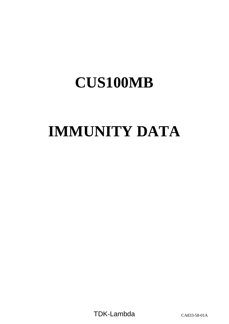# **IMMUNITY DATA**

TDK-Lambda CA833-58-01A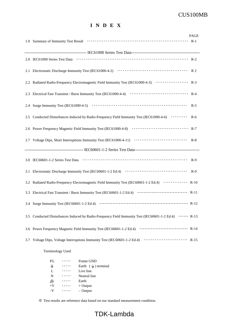### **I N D E X**

|  |                                                                                                          | <b>PAGE</b> |  |
|--|----------------------------------------------------------------------------------------------------------|-------------|--|
|  |                                                                                                          |             |  |
|  |                                                                                                          |             |  |
|  |                                                                                                          |             |  |
|  |                                                                                                          |             |  |
|  | 2.2 Radiated Radio-Frequency Electromagnetic Field Immunity Test (IEC61000-4-3) ···················· R-3 |             |  |
|  |                                                                                                          |             |  |
|  |                                                                                                          |             |  |
|  | 2.5 Conducted Disturbances Induced by Radio-Frequency Field Immunity Test (IEC61000-4-6) ·········· R-6  |             |  |
|  |                                                                                                          |             |  |
|  |                                                                                                          |             |  |
|  |                                                                                                          |             |  |
|  |                                                                                                          |             |  |
|  |                                                                                                          |             |  |
|  | 3.2 Radiated Radio-Frequency Electromagnetic Field Immunity Test (IEC60601-1-2 Ed.4)  R-10               |             |  |
|  |                                                                                                          |             |  |
|  |                                                                                                          |             |  |
|  | 3.5 Conducted Disturbances Induced by Radio-Frequency Field Immunity Test (IEC60601-1-2 Ed.4)  R-13      |             |  |
|  |                                                                                                          |             |  |
|  |                                                                                                          |             |  |
|  |                                                                                                          |             |  |

Terminology Used

| FG            | Frame GND                              |
|---------------|----------------------------------------|
| $\frac{1}{2}$ | Earth $(\frac{\perp}{\cdot})$ terminal |
| L             | Live line                              |
| N             | Neutral line                           |
| क्त           | Earth                                  |
| $+V$          | $+$ Output                             |
| $-V$          | - Output                               |

※ Test results are reference data based on our standard measurement condition.

## TDK-Lambda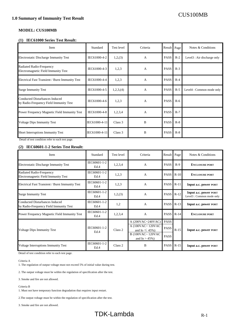#### **MODEL: CUS100MB**

#### **(1) IEC61000 Series Test Result:**

| Item                                                                                        | Standard      | Test level | Criteria     | Result      | Page  | Notes & Conditions                      |
|---------------------------------------------------------------------------------------------|---------------|------------|--------------|-------------|-------|-----------------------------------------|
| <b>Electrostatic Discharge Immunity Test</b>                                                | IEC61000-4-2  | 1,2,(3)    | $\mathbf{A}$ | <b>PASS</b> | $R-2$ | Level <sub>3</sub> : Air discharge only |
| Radiated Radio-Frequency<br>Electromagnetic Field Immunity Test                             | IEC61000-4-3  | 1,2,3      | $\mathbf{A}$ | <b>PASS</b> | $R-3$ |                                         |
| Electrical Fast Transient / Burst Immunity Test                                             | IEC61000-4-4  | 1,2,3      | A            | <b>PASS</b> | $R-4$ |                                         |
| <b>Surge Immunity Test</b>                                                                  | IEC61000-4-5  | 1,2,3, (4) | A            | <b>PASS</b> | $R-5$ | Level4 : Common mode only               |
| <b>Conducted Disturbances Induced</b><br>by Radio-Frequency Field Immunity Test             | IEC61000-4-6  | 1,2,3      | A            | <b>PASS</b> | $R-6$ |                                         |
| Power Frequency Magnetic Field Immunity Test                                                | IEC61000-4-8  | 1,2,3,4    | A            | <b>PASS</b> | $R-7$ |                                         |
| <b>Voltage Dips Immunity Test</b>                                                           | IEC61000-4-11 | Class 3    | B            | <b>PASS</b> | $R-8$ |                                         |
| Short Interruptions Immunity Test<br>District of the second states of finder and the second | IEC61000-4-11 | Class 3    | B            | <b>PASS</b> | $R-8$ |                                         |

Detail of test condition refer to each test page.

#### **(2) IEC60601-1-2 Series Test Result:**

| Item                                                                     | Standard             | Test level         | Criteria                                                                            | Result                             | Page   | Notes & Conditions                                 |
|--------------------------------------------------------------------------|----------------------|--------------------|-------------------------------------------------------------------------------------|------------------------------------|--------|----------------------------------------------------|
| Electrostatic Discharge Immunity Test                                    | IEC60601-1-2<br>Ed.4 | 1,2,3,4            | $\mathbf{A}$                                                                        | <b>PASS</b>                        | $R-9$  | <b>ENCLOSURE PORT</b>                              |
| Radiated Radio-Frequency<br>Electromagnetic Field Immunity Test          | IEC60601-1-2<br>Ed.4 | 1,2,3              | A                                                                                   | <b>PASS</b>                        | $R-10$ | <b>ENCLOSURE PORT</b>                              |
| Electrical Fast Transient / Burst Immunity Test                          | IEC60601-1-2<br>Ed.4 | 1,2,3              | A                                                                                   | <b>PASS</b>                        | $R-11$ | Input a.c. power PORT                              |
| <b>Surge Immunity Test</b>                                               | IEC60601-1-2<br>Ed.4 | 1,2,(3)            | A                                                                                   | <b>PASS</b>                        | $R-12$ | Input a.c. power PORT<br>Level3 : Common mode only |
| Conducted Disturbances Induced<br>by Radio-Frequency Field Immunity Test | IEC60601-1-2<br>Ed.4 | 1,2                | A                                                                                   | <b>PASS</b>                        | $R-13$ | Input a.c. power PORT                              |
| Power Frequency Magnetic Field Immunity Test                             | IEC60601-1-2<br>Ed.4 | 1,2,3,4            | A                                                                                   | <b>PASS</b>                        | $R-14$ | <b>ENCLOSURE PORT</b>                              |
| <b>Voltage Dips Immunity Test</b>                                        | IEC60601-1-2<br>Ed.4 | Class <sub>2</sub> | A (200VAC~240VAC)<br>A (100VAC~120VAC)<br>and Io $\leq 45\%$ )<br>B (100VAC~ 120VAC | <b>PASS</b><br>PASS<br><b>PASS</b> | $R-15$ | Input a.c. power PORT                              |
| Voltage Interruptions Immunity Test                                      | IEC60601-1-2<br>Ed.4 | Class 2            | and $I_0 > 45\%$ )<br>B                                                             | <b>PASS</b>                        | $R-15$ | Input a.c. power PORT                              |

Detail of test condition refer to each test page.

#### Criteria A

1. The regulation of output voltage must not exceed 5% of initial value during test.

2. The output voltage must be within the regulation of specification after the test.

3. Smoke and fire are not allowed.

#### Criteria B

1. Must not have temporary function degradation that requires input restart.

2.The output voltage must be within the regulation of specification after the test.

3. Smoke and fire are not allowed.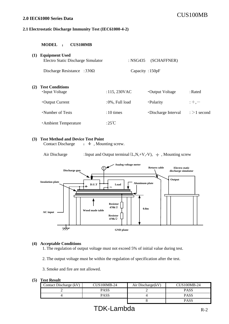## CUS100MB **2.0 IEC61000 Series Data**

#### **2.1 Electrostatic Discharge Immunity Test (IEC61000-4-2)**

#### **MODEL** : **CUS100MB**

| (1) | <b>Equipment Used</b><br>Electro Static Discharge Simulator | : NSG435            | (SCHAFFNER)          |                   |
|-----|-------------------------------------------------------------|---------------------|----------------------|-------------------|
|     | Discharge Resistance : $330\Omega$                          | Capacity: 150pF     |                      |                   |
| (2) | <b>Test Conditions</b><br>•Input Voltage                    | $: 115, 230$ VAC    | • Output Voltage     | $:$ Rated         |
|     | • Output Current                                            | :0%, Full load      | ·Polarity            | $;+, -$           |
|     | •Number of Tests                                            | $:10 \text{ times}$ | • Discharge Interval | $\div$ > 1 second |
|     | <b>Ambient Temperature</b>                                  | $:25^{\circ}$ C     |                      |                   |

#### **(3) Test Method and Device Test Point**

Contact Discharge  $\;\; : \; \doteq \;$ , Mounting screw.

Air Discharge : Input and Output terminal  $(L, N, +V, -V)$ ,  $\neq$ , Mounting screw



#### **(4) Acceptable Conditions**

1. The regulation of output voltage must not exceed 5% of initial value during test.

2. The output voltage must be within the regulation of specification after the test.

3. Smoke and fire are not allowed.

| Contact Discharge (kV) | CUS100MB-24 | Air Discharge(kV) | CUS100MB-24 |
|------------------------|-------------|-------------------|-------------|
|                        | PASS        |                   | PASS        |
|                        | PASS        |                   | PASS        |
|                        |             |                   | PASS        |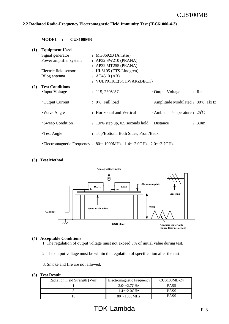#### **2.2 Radiated Radio-Frequency Electromagnetic Field Immunity Test (IEC61000-4-3)**

#### **MODEL** : **CUS100MB**

| (1) | <b>Equipment Used</b>  |                                                                                        |                                      |         |
|-----|------------------------|----------------------------------------------------------------------------------------|--------------------------------------|---------|
|     | Signal generator       | : $MG3692B (Anritsu)$                                                                  |                                      |         |
|     | Power amplifier system | $:$ AP32 SW210 (PRANA)                                                                 |                                      |         |
|     |                        | : AP32 MT255 (PRANA)                                                                   |                                      |         |
|     | Electric field sensor  | $\colon$ HI-6105 (ETS-Lindgren)                                                        |                                      |         |
|     | Bilog antenna          | : $AT4510 (AR)$                                                                        |                                      |         |
|     |                        | : VULP9118E(SCHWARZBECK)                                                               |                                      |         |
| (2) | <b>Test Conditions</b> |                                                                                        |                                      |         |
|     | •Input Voltage         | : 115,230VAC                                                                           | •Output Voltage                      | : Rated |
|     |                        |                                                                                        |                                      |         |
|     | $\cdot$ Output Current | $: 0\%$ , Full load                                                                    | · Amplitude Modulated : 80%, 1kHz    |         |
|     |                        |                                                                                        |                                      |         |
|     | • Wave Angle           | : Horizontal and Vertical                                                              | Ambient Temperature : $25^{\circ}$ C |         |
|     | • Sweep Condition      | $: 1.0\%$ step up, 0.5 seconds hold $\cdot$ Distance                                   |                                      | : 3.0m  |
|     |                        |                                                                                        |                                      |         |
|     | $\cdot$ Test Angle     | : Top/Bottom, Both Sides, Front/Back                                                   |                                      |         |
|     |                        |                                                                                        |                                      |         |
|     |                        | Electromagnetic Frequency : $80 \sim 1000$ MHz, $1.4 \sim 2.0$ GHz, $2.0 \sim 2.7$ GHz |                                      |         |

#### **(3) Test Method**



#### **(4) Acceptable Conditions**

- 1. The regulation of output voltage must not exceed 5% of initial value during test.
- 2. The output voltage must be within the regulation of specification after the test.
- 3. Smoke and fire are not allowed.

| Radiation Field Strength (V/m) | Electromagnetic Frequency | $CUS100MB-24$ |
|--------------------------------|---------------------------|---------------|
|                                | $2.0 \sim 2.7$ GHz        | <b>PASS</b>   |
|                                | $1.4\sim2.0$ GHz          | <b>PASS</b>   |
|                                | $80\sim1000$ MHz          | <b>PASS</b>   |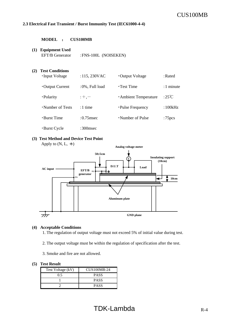#### **2.3 Electrical Fast Transient / Burst Immunity Test (IEC61000-4-4)**

**MODEL** : **CUS100MB**

**(1) Equipment Used**

## EFT/B Generator :FNS-100L (NOISEKEN) **(2) Test Conditions** •Input Voltage :115, 230VAC •Output Voltage :Rated •Output Current :0%, Full load • Test Time :1 minute  $\cdot$ Polarity :+,-<br> $\cdot$ Ambient Temperature :25<sup>°</sup>C • Number of Tests : 1 time • Pulse Frequency : 100kHz • Burst Time :0.75msec • Number of Pulse :75pcs ・Burst Cycle :300msec

## **(3) Test Method and Device Test Point**

Apply to  $(N, L, \div)$ 



#### **(4) Acceptable Conditions**

1. The regulation of output voltage must not exceed 5% of initial value during test.

2. The output voltage must be within the regulation of specification after the test.

3. Smoke and fire are not allowed.

| Test Voltage (kV) | CUS100MB-24 |
|-------------------|-------------|
| ი ร               | <b>PASS</b> |
|                   | <b>PASS</b> |
|                   | <b>PASS</b> |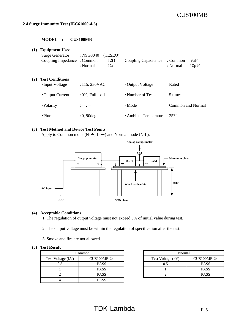#### **2.4 Surge Immunity Test (IEC61000-4-5)**

#### **MODEL** : **CUS100MB**

| <b>(1)</b> | <b>Equipment Used</b><br><b>Surge Generator</b><br>Coupling Impedance: Common | : NSG3040<br>(TESEQ)<br>$12\Omega$<br>: Normal<br>$2\Omega$ | Coupling Capacitance               | $9\mu F$<br>: Common<br>$18\mu$ F<br>: Normal |
|------------|-------------------------------------------------------------------------------|-------------------------------------------------------------|------------------------------------|-----------------------------------------------|
| (2)        | <b>Test Conditions</b><br>•Input Voltage                                      | :115,230VAC                                                 | • Output Voltage                   | : Rated                                       |
|            | • Output Current                                                              | :0%, Full load                                              | • Number of Tests                  | $:5 \times$                                   |
|            | ·Polarity                                                                     | $: +,-$                                                     | $\cdot$ Mode                       | : Common and Normal                           |
|            | · Phase                                                                       | $:0,90$ deg                                                 | $\cdot$ Ambient Temperature : 25°C |                                               |

#### **(3) Test Method and Device Test Points**

Apply to Common mode ( $N-\frac{1}{2}$ ,  $L-\frac{1}{2}$ ) and Normal mode (N-L).



#### **(4) Acceptable Conditions**

1. The regulation of output voltage must not exceed 5% of initial value during test.

- 2. The output voltage must be within the regulation of specification after the test.
- 3. Smoke and fire are not allowed.

|                   | Common             | Normal            |                    |
|-------------------|--------------------|-------------------|--------------------|
| Test Voltage (kV) | <b>CUS100MB-24</b> | Test Voltage (kV) | <b>CUS100MB-24</b> |
| 0.5               | <b>PASS</b>        | 0.5               | <b>PASS</b>        |
|                   | <b>PASS</b>        |                   | <b>PASS</b>        |
|                   | <b>PASS</b>        |                   | <b>PASS</b>        |
|                   | <b>PASS</b>        |                   |                    |

| Normal            |                    |  |  |  |  |
|-------------------|--------------------|--|--|--|--|
| Test Voltage (kV) | <b>CUS100MB-24</b> |  |  |  |  |
| 0.5               | <b>PASS</b>        |  |  |  |  |
|                   | <b>PASS</b>        |  |  |  |  |
|                   | <b>PASS</b>        |  |  |  |  |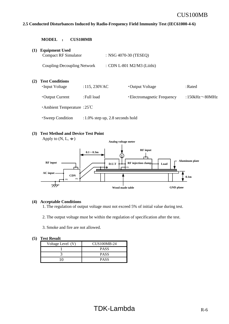#### **2.5 Conducted Disturbances Induced by Radio-Frequency Field Immunity Test (IEC61000-4-6)**

|     | <b>MODEL</b>                                         | <b>CUS100MB</b>                     |                             |                      |
|-----|------------------------------------------------------|-------------------------------------|-----------------------------|----------------------|
| (1) | <b>Equipment Used</b><br><b>Compact RF Simulator</b> |                                     | : NSG 4070-30 (TESEQ)       |                      |
|     | Coupling-Decoupling Network                          |                                     | : CDN L-801 M2/M3 (Liithi)  |                      |
| (2) | <b>Test Conditions</b><br>•Input Voltage             | $: 115, 230$ VAC                    | •Output Voltage             | : Rated              |
|     | • Output Current                                     | : Full load                         | • Electromagnetic Frequency | :150kHz $\sim$ 80MHz |
|     | $\cdot$ Ambient Temperature : 25°C                   |                                     |                             |                      |
|     | • Sweep Condition                                    | $: 1.0\%$ step up, 2.8 seconds hold |                             |                      |

#### **(3) Test Method and Device Test Point**

Apply to  $(N, L, \doteq$ 



#### **(4) Acceptable Conditions**

1. The regulation of output voltage must not exceed 5% of initial value during test.

- 2. The output voltage must be within the regulation of specification after the test.
- 3. Smoke and fire are not allowed.

| Voltage Level (V) | <b>CUS100MB-24</b> |  |
|-------------------|--------------------|--|
|                   | <b>PASS</b>        |  |
|                   | <b>PASS</b>        |  |
|                   | <b>PASS</b>        |  |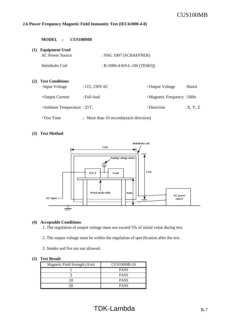#### **2.6 Power Frequency Magnetic Field Immunity Test (IEC61000-4-8)**

| <b>CUS100MB</b><br><b>MODEL</b><br>$\ddot{\cdot}$ |                                                 |                                         |                                  |         |
|---------------------------------------------------|-------------------------------------------------|-----------------------------------------|----------------------------------|---------|
| (1)                                               | <b>Equipment Used</b><br><b>AC Power Source</b> | : NSG 1007 (SCHAFFNER)                  |                                  |         |
|                                                   | Helmholts Coil                                  | : $R-1000-4-8/9-L-1M$ (TESEQ)           |                                  |         |
| (2)                                               | <b>Test Conditions</b><br>•Input Voltage        | :115,230VAC                             | • Output Voltage                 | : Rated |
|                                                   | • Output Current                                | : Full load                             | $\cdot$ Magnetic Frequency: 50Hz |         |
|                                                   | Ambient Temperature : $25^{\circ}$ C            |                                         | •Direction                       | X, Y, Z |
|                                                   | $\cdot$ Test Time                               | : More than 10 seconds (each direction) |                                  |         |

#### **(3) Test Method**



#### **(4) Acceptable Conditions**

1. The regulation of output voltage must not exceed 5% of initial value during test.

- 2. The output voltage must be within the regulation of specification after the test.
- 3. Smoke and fire are not allowed.

| Magnetic Field Strength (A/m) | <b>CUS100MB-24</b> |
|-------------------------------|--------------------|
|                               | <b>PASS</b>        |
|                               | <b>PASS</b>        |
|                               | <b>PASS</b>        |
|                               | <b>PASS</b>        |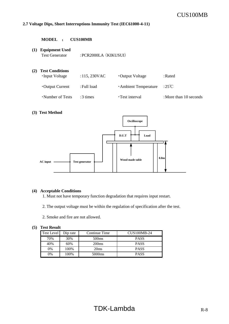#### **2.7 Voltage Dips, Short Interruptions Immunity Test (IEC61000-4-11)**

**MODEL** : **CUS100MB**

## **(1) Equipment Used** Test Generator : PCR2000LA (KIKUSUI) **(2) Test Conditions** •Input Voltage :115, 230VAC •Output Voltage :Rated ・Output Current :Full load ・Ambient Temperature :25℃ •Number of Tests :3 times • Test interval :More than 10 seconds

#### **(3) Test Method**



#### **(4) Acceptable Conditions**

1. Must not have temporary function degradation that requires input restart.

2. The output voltage must be within the regulation of specification after the test.

2. Smoke and fire are not allowed.

| Test Level | Dip rate | Continue Time      | <b>CUS100MB-24</b> |
|------------|----------|--------------------|--------------------|
| 70%        | 30%      | 500 <sub>ms</sub>  | <b>PASS</b>        |
| 40%        | 60%      | 200 <sub>ms</sub>  | <b>PASS</b>        |
| 0%         | 100%     | 20ms               | <b>PASS</b>        |
| 0%         | 100%     | 5000 <sub>ms</sub> | <b>PASS</b>        |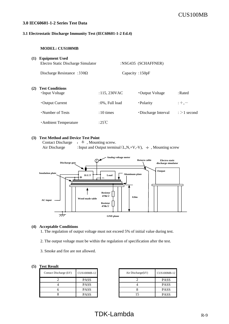#### **3.0 IEC60601-1-2 Series Test Data**

#### **3.1 Electrostatic Discharge Immunity Test (IEC60601-1-2 Ed.4)**

#### **MODEL: CUS100MB**

| (1) | <b>Equipment Used</b><br>Electro Static Discharge Simulator |                    | :NSG435 (SCHAFFNER)  |                   |
|-----|-------------------------------------------------------------|--------------------|----------------------|-------------------|
|     | Discharge Resistance : $330\Omega$                          | Capacity : $150pF$ |                      |                   |
| (2) | <b>Test Conditions</b><br>•Input Voltage                    | $:115,230$ VAC     | •Output Voltage      | $:$ Rated         |
|     | • Output Current                                            | $:0\%$ , Full load | • Polarity           | $: +, -$          |
|     | •Number of Tests                                            | $:10 \times$       | • Discharge Interval | $\div$ > 1 second |
|     | Ambient Temperature                                         | :25°C              |                      |                   |

#### **(3) Test Method and Device Test Point**

Contact Discharge :  $\pm$ , Mounting screw. Air Discharge : Input and Output terminal  $(L, N, +V, -V)$ ,  $\div$  Mounting screw



#### **(4) Acceptable Conditions**

1. The regulation of output voltage must not exceed 5% of initial value during test.

- 2. The output voltage must be within the regulation of specification after the test.
- 3. Smoke and fire are not allowed.

#### **(5) Test Result**

| Contact Discharge (kV) | <b>CUS100MB-12</b> | Air Discharge(kV) |
|------------------------|--------------------|-------------------|
|                        | <b>PASS</b>        |                   |
|                        | <b>PASS</b>        |                   |
|                        | <b>PASS</b>        |                   |
|                        | <b>PASS</b>        |                   |

| <b>CUS100MB-12</b> | Air Discharge(kV) | <b>CUS100MB-12</b> |
|--------------------|-------------------|--------------------|
| <b>PASS</b>        |                   | <b>PASS</b>        |
| <b>PASS</b>        |                   | <b>PASS</b>        |
| <b>PASS</b>        |                   | <b>PASS</b>        |
| <b>PASS</b>        |                   | <b>PASS</b>        |

## $TDK-Lambda$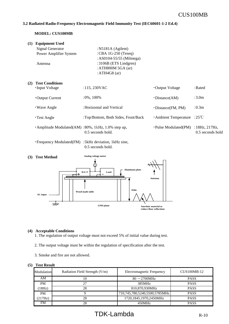#### **3.2 Radiated Radio-Frequency Electromagnetic Field Immunity Test (IEC60601-1-2 Ed.4)**

#### **MODEL: CUS100MB**

| (1) | <b>Equipment Used</b><br>Signal Generator<br>Power Amplifier System<br>Antenna | : $N5181A$ (Agilent)<br>:CBA 1G-250 (Teseq)<br>: AS0104-55/55 (Milmega)<br>:3106B (ETS Lindgren)<br>: ATH800M 5GA (ar)<br>: ATH4G8 $(ar)$ |                          |                                            |
|-----|--------------------------------------------------------------------------------|-------------------------------------------------------------------------------------------------------------------------------------------|--------------------------|--------------------------------------------|
| (2) | <b>Test Conditions</b><br>•Input Voltage                                       | $: 115, 230$ VAC                                                                                                                          | •Output Voltage          | : Rated                                    |
|     | • Output Current                                                               | $:0\%, 100\%$                                                                                                                             | $\cdot$ Distance(AM)     | :3.0 <sub>m</sub>                          |
|     | • Wave Angle                                                                   | : Horizontal and Vertical                                                                                                                 | $\cdot$ Distance(FM, PM) | : 0.3m                                     |
|     | <b>·Test Angle</b>                                                             | : Top/Bottom, Both Sides, Front/Back                                                                                                      | Ambient Temperature      | :25°C                                      |
|     | $\cdot$ Amplitude Modulated(AM) : 80%, 1kHz, 1.0% step up,                     | $0.5$ seconds hold.                                                                                                                       | ·Pulse Modulated(PM)     | : $18Hz$ , $217Hz$ ,<br>$0.5$ seconds hold |
|     | • Frequency Modulated (FM) : 5kHz deviation, 1kHz sine,                        | 0.5 seconds hold.                                                                                                                         |                          |                                            |



#### **(4) Acceptable Conditions**

- 1. The regulation of output voltage must not exceed 5% of initial value during test.
- 2. The output voltage must be within the regulation of specification after the test.
- 3. Smoke and fire are not allowed.

| Modulation | Radiation Field Strength (V/m) | <b>Electromagnetic Frequency</b> | $CUS100MB-12$ |
|------------|--------------------------------|----------------------------------|---------------|
| AΜ         | 10                             | $80 \sim$ 2700MHz                | <b>PASS</b>   |
| <b>PM</b>  | 27                             | 385MHz                           | <b>PASS</b>   |
| (18Hz)     | 28                             | 810,870,930MHz                   | <b>PASS</b>   |
| <b>PM</b>  |                                | 710,745,780,5240,5500,5785MHz    | <b>PASS</b>   |
| (217Hz)    | 28                             | 1720,1845,1970,2450MHz           | <b>PASS</b>   |
| FM         | 28                             | 450MHz                           | <b>PASS</b>   |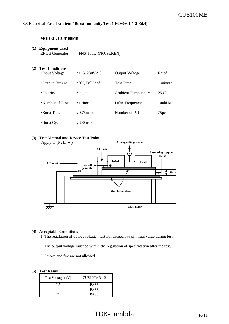#### **3.3 Electrical Fast Transient / Burst Immunity Test (IEC60601-1-2 Ed.4)**

#### **MODEL: CUS100MB**

#### **(1) Equipment Used**

EFT/B Generator : FNS-100L (NOISEKEN)

| (2) | <b>Test Conditions</b><br>•Input Voltage | : 115, 230VAC      | •Output Voltage     | : $Rated$          |
|-----|------------------------------------------|--------------------|---------------------|--------------------|
|     | • Output Current                         | $:0\%$ , Full load | $\cdot$ Test Time   | $:1$ minute        |
|     | • Polarity                               | $: +, -$           | Ambient Temperature | :25°C              |
|     | •Number of Tests                         | $:1$ time          | • Pulse Frequency   | :100kHz            |
|     | $\cdot$ Burst Time                       | : $0.75$ msec      | •Number of Pulse    | :75 <sub>pcs</sub> |
|     | •Burst Cycle                             | :300 $msec$        |                     |                    |

#### **(3) Test Method and Device Test Point**

Apply to  $(N, L, \frac{1}{\epsilon})$ .



#### **(4) Acceptable Conditions**

- 1. The regulation of output voltage must not exceed 5% of initial value during test.
- 2. The output voltage must be within the regulation of specification after the test.
- 3. Smoke and fire are not allowed.

| Test Voltage (kV) | CUS100MB-12 |
|-------------------|-------------|
| 0.5               | <b>PASS</b> |
|                   | <b>PASS</b> |
|                   | <b>PASS</b> |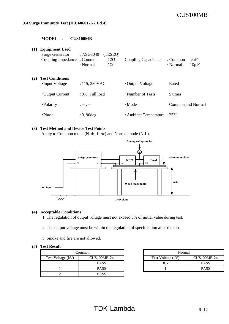#### **3.4 Surge Immunity Test (IEC60601-1-2 Ed.4)**

#### **MODEL** : **CUS100MB**

| (1) | <b>Equipment Used</b><br><b>Surge Generator</b><br>Coupling Impedance: Common | $:$ NSG3040<br>(TESEQ)<br>$12\Omega$<br>: Normal<br>$2\Omega$ | <b>Coupling Capacitance</b>          | $9\mu F$<br>: Common<br>$18\mu$ F<br>: Normal |
|-----|-------------------------------------------------------------------------------|---------------------------------------------------------------|--------------------------------------|-----------------------------------------------|
| (2) | <b>Test Conditions</b><br>•Input Voltage                                      | $: 115, 230$ VAC                                              | • Output Voltage                     | : Rated                                       |
|     | • Output Current                                                              | :0%, Full load                                                | • Number of Tests                    | $:5 \times$                                   |
|     | ·Polarity                                                                     | $: +, -$                                                      | $\cdot$ Mode                         | : Common and Normal                           |
|     | $\cdot$ Phase                                                                 | $:0,90$ deg                                                   | Ambient Temperature : $25^{\circ}$ C |                                               |

#### **(3) Test Method and Device Test Points**

Apply to Common mode ( $N-\frac{1}{2}$ , L- $\frac{1}{2}$ ) and Normal mode (N-L).



#### **(4) Acceptable Conditions**

1. The regulation of output voltage must not exceed 5% of initial value during test.

- 2. The output voltage must be within the regulation of specification after the test.
- 3. Smoke and fire are not allowed.

| Common            |                    | Normal            |                    |
|-------------------|--------------------|-------------------|--------------------|
| Test Voltage (kV) | <b>CUS100MB-24</b> | Test Voltage (kV) | <b>CUS100MB-24</b> |
| 0.5               | <b>PASS</b>        |                   | <b>PASS</b>        |
|                   | <b>PASS</b>        |                   | <b>PASS</b>        |
|                   | <b>PASS</b>        |                   |                    |

|                              | .`ommon     | Normal            |                    |  |
|------------------------------|-------------|-------------------|--------------------|--|
| $CUS100MB-24$<br>oltage (kV) |             | Test Voltage (kV) | <b>CUS100MB-24</b> |  |
| 0.5                          | <b>PASS</b> |                   | <b>PASS</b>        |  |
|                              | <b>PASS</b> |                   | <b>PASS</b>        |  |
|                              |             |                   |                    |  |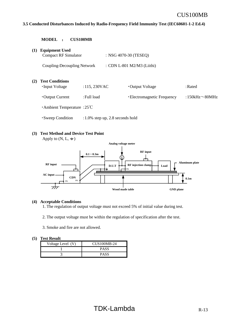#### **3.5 Conducted Disturbances Induced by Radio-Frequency Field Immunity Test (IEC60601-1-2 Ed.4)**

|     | <b>MODEL</b>                                         | <b>CUS100MB</b>                     |                             |                      |
|-----|------------------------------------------------------|-------------------------------------|-----------------------------|----------------------|
| (1) | <b>Equipment Used</b><br><b>Compact RF Simulator</b> |                                     | : NSG 4070-30 (TESEQ)       |                      |
|     | Coupling-Decoupling Network                          |                                     | : CDN L-801 M2/M3 (Liithi)  |                      |
| (2) | <b>Test Conditions</b><br>•Input Voltage             | :115, 230VAC                        | •Output Voltage             | : Rated              |
|     | • Output Current                                     | : Full load                         | • Electromagnetic Frequency | :150kHz $\sim$ 80MHz |
|     | $\cdot$ Ambient Temperature : 25°C                   |                                     |                             |                      |
|     | • Sweep Condition                                    | $: 1.0\%$ step up, 2.8 seconds hold |                             |                      |

#### **(3) Test Method and Device Test Point**

Apply to  $(N, L, \doteq)$ 



#### **(4) Acceptable Conditions**

1. The regulation of output voltage must not exceed 5% of initial value during test.

- 2. The output voltage must be within the regulation of specification after the test.
- 3. Smoke and fire are not allowed.

| Voltage Level (V) | CUS100MB-24 |
|-------------------|-------------|
|                   | PASS        |
|                   | PASS        |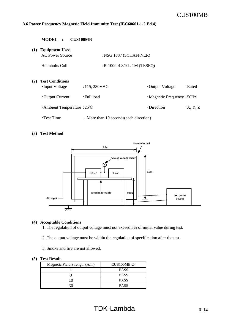#### **3.6 Power Frequency Magnetic Field Immunity Test (IEC60601-1-2 Ed.4)**

|     | <b>MODEL</b><br><b>CUS100MB</b><br>$\ddot{\phantom{a}}$ |                                         |                            |         |
|-----|---------------------------------------------------------|-----------------------------------------|----------------------------|---------|
| (1) | <b>Equipment Used</b><br><b>AC Power Source</b>         | : NSG 1007 (SCHAFFNER)                  |                            |         |
|     | Helmholts Coil                                          | : $R-1000-4-8/9-L-1M$ (TESEQ)           |                            |         |
| (2) | <b>Test Conditions</b><br>•Input Voltage                | :115,230VAC                             | • Output Voltage           | : Rated |
|     | • Output Current                                        | : Full load                             | • Magnetic Frequency: 50Hz |         |
|     | Ambient Temperature : $25^{\circ}$ C                    |                                         | •Direction                 | X, Y, Z |
|     | $\cdot$ Test Time                                       | : More than 10 seconds (each direction) |                            |         |

#### **(3) Test Method**



#### **(4) Acceptable Conditions**

1. The regulation of output voltage must not exceed 5% of initial value during test.

- 2. The output voltage must be within the regulation of specification after the test.
- 3. Smoke and fire are not allowed.

| Magnetic Field Strength (A/m) | <b>CUS100MB-24</b> |
|-------------------------------|--------------------|
|                               | <b>PASS</b>        |
|                               | <b>PASS</b>        |
|                               | <b>PASS</b>        |
|                               | <b>PASS</b>        |